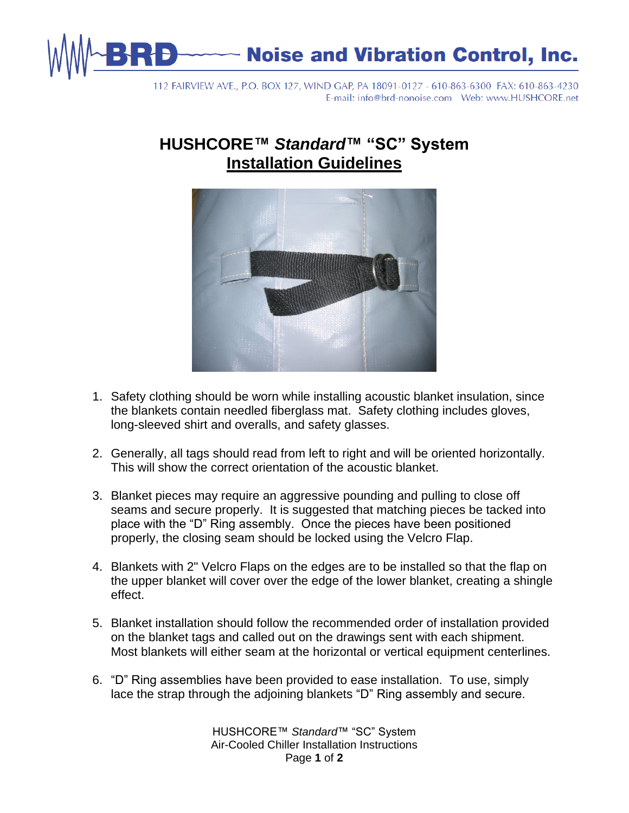

112 FAIRVIEW AVE., P.O. BOX 127, WIND GAP, PA 18091-0127 - 610-863-6300 FAX: 610-863-4230 

## **HUSHCORE™** *Standard***™ "SC" System Installation Guidelines**



- 1. Safety clothing should be worn while installing acoustic blanket insulation, since the blankets contain needled fiberglass mat. Safety clothing includes gloves, long-sleeved shirt and overalls, and safety glasses.
- 2. Generally, all tags should read from left to right and will be oriented horizontally. This will show the correct orientation of the acoustic blanket.
- 3. Blanket pieces may require an aggressive pounding and pulling to close off seams and secure properly. It is suggested that matching pieces be tacked into place with the "D" Ring assembly. Once the pieces have been positioned properly, the closing seam should be locked using the Velcro Flap.
- 4. Blankets with 2" Velcro Flaps on the edges are to be installed so that the flap on the upper blanket will cover over the edge of the lower blanket, creating a shingle effect.
- 5. Blanket installation should follow the recommended order of installation provided on the blanket tags and called out on the drawings sent with each shipment. Most blankets will either seam at the horizontal or vertical equipment centerlines.
- 6. "D" Ring assemblies have been provided to ease installation. To use, simply lace the strap through the adjoining blankets "D" Ring assembly and secure.

HUSHCORE™ *Standard*™ "SC" System Air-Cooled Chiller Installation Instructions Page **1** of **2**